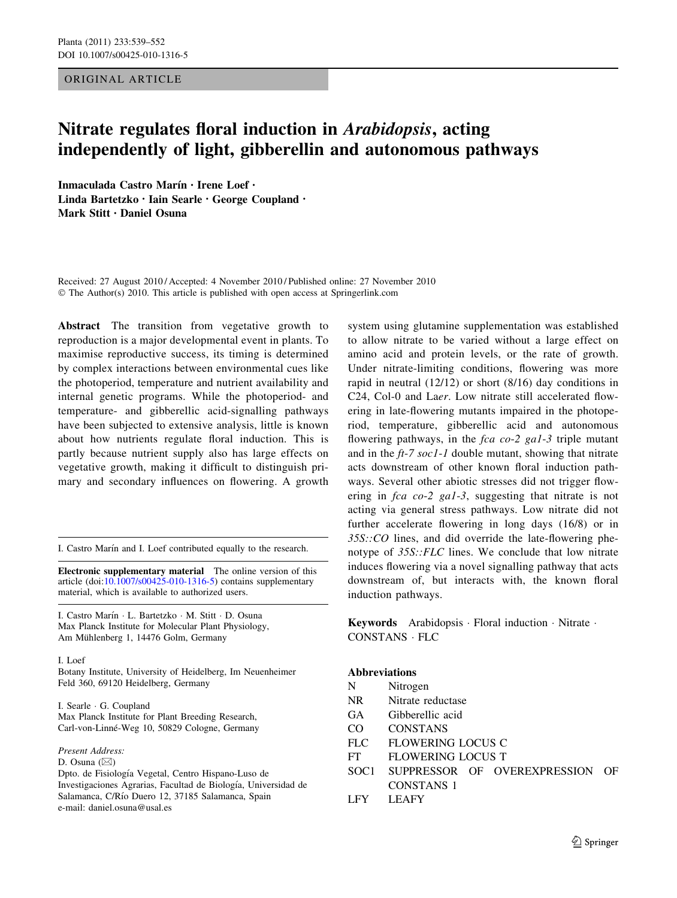ORIGINAL ARTICLE

# Nitrate regulates floral induction in Arabidopsis, acting independently of light, gibberellin and autonomous pathways

Inmaculada Castro Marín · Irene Loef · Linda Bartetzko • Iain Searle • George Coupland • Mark Stitt • Daniel Osuna

Received: 27 August 2010 / Accepted: 4 November 2010 / Published online: 27 November 2010 © The Author(s) 2010. This article is published with open access at Springerlink.com

Abstract The transition from vegetative growth to reproduction is a major developmental event in plants. To maximise reproductive success, its timing is determined by complex interactions between environmental cues like the photoperiod, temperature and nutrient availability and internal genetic programs. While the photoperiod- and temperature- and gibberellic acid-signalling pathways have been subjected to extensive analysis, little is known about how nutrients regulate floral induction. This is partly because nutrient supply also has large effects on vegetative growth, making it difficult to distinguish primary and secondary influences on flowering. A growth

I. Castro Marín and I. Loef contributed equally to the research.

Electronic supplementary material The online version of this article (doi:[10.1007/s00425-010-1316-5\)](http://dx.doi.org/10.1007/s00425-010-1316-5) contains supplementary material, which is available to authorized users.

I. Castro Marín · L. Bartetzko · M. Stitt · D. Osuna Max Planck Institute for Molecular Plant Physiology, Am Mühlenberg 1, 14476 Golm, Germany

I. Loef

Botany Institute, University of Heidelberg, Im Neuenheimer Feld 360, 69120 Heidelberg, Germany

I. Searle - G. Coupland Max Planck Institute for Plant Breeding Research, Carl-von-Linné-Weg 10, 50829 Cologne, Germany

Present Address:

D. Osuna  $(\boxtimes)$ 

Dpto. de Fisiología Vegetal, Centro Hispano-Luso de Investigaciones Agrarias, Facultad de Biología, Universidad de Salamanca, C/Río Duero 12, 37185 Salamanca, Spain e-mail: daniel.osuna@usal.es

system using glutamine supplementation was established to allow nitrate to be varied without a large effect on amino acid and protein levels, or the rate of growth. Under nitrate-limiting conditions, flowering was more rapid in neutral (12/12) or short (8/16) day conditions in C24, Col-0 and Laer. Low nitrate still accelerated flowering in late-flowering mutants impaired in the photoperiod, temperature, gibberellic acid and autonomous flowering pathways, in the fca co-2 ga1-3 triple mutant and in the ft-7 soc1-1 double mutant, showing that nitrate acts downstream of other known floral induction pathways. Several other abiotic stresses did not trigger flowering in fca co-2 ga1-3, suggesting that nitrate is not acting via general stress pathways. Low nitrate did not further accelerate flowering in long days (16/8) or in 35S::CO lines, and did override the late-flowering phenotype of 35S::FLC lines. We conclude that low nitrate induces flowering via a novel signalling pathway that acts downstream of, but interacts with, the known floral induction pathways.

Keywords Arabidopsis · Floral induction · Nitrate · CONSTANS - FLC

## Abbreviations

- N Nitrogen
- NR Nitrate reductase
- GA Gibberellic acid
- CO CONSTANS
- FLC FLOWERING LOCUS C
- FT FLOWERING LOCUS T
- SOC1 SUPPRESSOR OF OVEREXPRESSION OF CONSTANS 1
- LFY LEAFY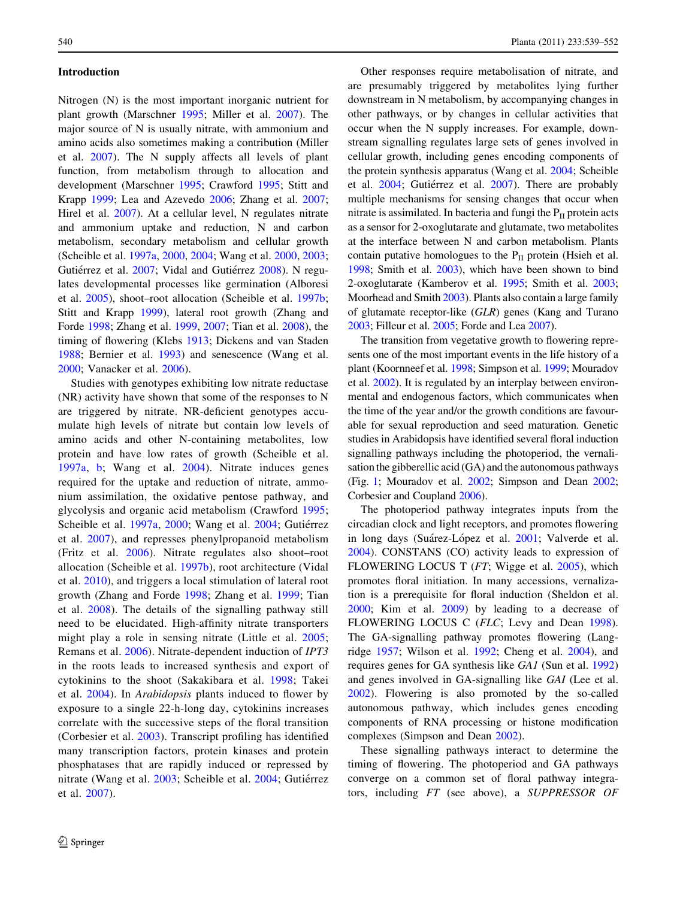## Introduction

Nitrogen (N) is the most important inorganic nutrient for plant growth (Marschner [1995](#page-12-0); Miller et al. [2007](#page-12-0)). The major source of N is usually nitrate, with ammonium and amino acids also sometimes making a contribution (Miller et al. [2007](#page-12-0)). The N supply affects all levels of plant function, from metabolism through to allocation and development (Marschner [1995](#page-12-0); Crawford [1995;](#page-11-0) Stitt and Krapp [1999](#page-12-0); Lea and Azevedo [2006](#page-12-0); Zhang et al. [2007](#page-13-0); Hirel et al. [2007](#page-11-0)). At a cellular level, N regulates nitrate and ammonium uptake and reduction, N and carbon metabolism, secondary metabolism and cellular growth (Scheible et al. [1997a,](#page-12-0) [2000,](#page-12-0) [2004;](#page-12-0) Wang et al. [2000](#page-13-0), [2003](#page-13-0); Gutiérrez et al. [2007;](#page-11-0) Vidal and Gutiérrez [2008\)](#page-13-0). N regulates developmental processes like germination (Alboresi et al. [2005\)](#page-11-0), shoot–root allocation (Scheible et al. [1997b](#page-12-0); Stitt and Krapp [1999](#page-12-0)), lateral root growth (Zhang and Forde [1998](#page-13-0); Zhang et al. [1999,](#page-13-0) [2007;](#page-13-0) Tian et al. [2008](#page-13-0)), the timing of flowering (Klebs [1913;](#page-12-0) Dickens and van Staden [1988;](#page-11-0) Bernier et al. [1993](#page-11-0)) and senescence (Wang et al. [2000;](#page-13-0) Vanacker et al. [2006](#page-13-0)).

Studies with genotypes exhibiting low nitrate reductase (NR) activity have shown that some of the responses to N are triggered by nitrate. NR-deficient genotypes accumulate high levels of nitrate but contain low levels of amino acids and other N-containing metabolites, low protein and have low rates of growth (Scheible et al. [1997a,](#page-12-0) [b](#page-12-0); Wang et al. [2004\)](#page-13-0). Nitrate induces genes required for the uptake and reduction of nitrate, ammonium assimilation, the oxidative pentose pathway, and glycolysis and organic acid metabolism (Crawford [1995](#page-11-0); Scheible et al. [1997a](#page-12-0), [2000](#page-12-0); Wang et al. [2004](#page-13-0); Gutiérrez et al. [2007](#page-11-0)), and represses phenylpropanoid metabolism (Fritz et al. [2006](#page-11-0)). Nitrate regulates also shoot–root allocation (Scheible et al. [1997b\)](#page-12-0), root architecture (Vidal et al. [2010](#page-13-0)), and triggers a local stimulation of lateral root growth (Zhang and Forde [1998;](#page-13-0) Zhang et al. [1999;](#page-13-0) Tian et al. [2008\)](#page-13-0). The details of the signalling pathway still need to be elucidated. High-affinity nitrate transporters might play a role in sensing nitrate (Little et al. [2005](#page-12-0); Remans et al. [2006](#page-12-0)). Nitrate-dependent induction of IPT3 in the roots leads to increased synthesis and export of cytokinins to the shoot (Sakakibara et al. [1998](#page-12-0); Takei et al. [2004\)](#page-13-0). In Arabidopsis plants induced to flower by exposure to a single 22-h-long day, cytokinins increases correlate with the successive steps of the floral transition (Corbesier et al. [2003](#page-11-0)). Transcript profiling has identified many transcription factors, protein kinases and protein phosphatases that are rapidly induced or repressed by nitrate (Wang et al. [2003;](#page-13-0) Scheible et al. [2004](#page-12-0); Gutiérrez et al. [2007\)](#page-11-0).

Other responses require metabolisation of nitrate, and are presumably triggered by metabolites lying further downstream in N metabolism, by accompanying changes in other pathways, or by changes in cellular activities that occur when the N supply increases. For example, downstream signalling regulates large sets of genes involved in cellular growth, including genes encoding components of the protein synthesis apparatus (Wang et al. [2004](#page-13-0); Scheible et al. [2004](#page-12-0); Gutiérrez et al. [2007\)](#page-11-0). There are probably multiple mechanisms for sensing changes that occur when nitrate is assimilated. In bacteria and fungi the  $P_{II}$  protein acts as a sensor for 2-oxoglutarate and glutamate, two metabolites at the interface between N and carbon metabolism. Plants contain putative homologues to the  $P_{II}$  protein (Hsieh et al. [1998;](#page-12-0) Smith et al. [2003\)](#page-12-0), which have been shown to bind 2-oxoglutarate (Kamberov et al. [1995;](#page-12-0) Smith et al. [2003](#page-12-0); Moorhead and Smith [2003](#page-12-0)). Plants also contain a large family of glutamate receptor-like (GLR) genes (Kang and Turano [2003;](#page-12-0) Filleur et al. [2005;](#page-11-0) Forde and Lea [2007](#page-11-0)).

The transition from vegetative growth to flowering represents one of the most important events in the life history of a plant (Koornneef et al. [1998](#page-12-0); Simpson et al. [1999](#page-12-0); Mouradov et al. [2002\)](#page-12-0). It is regulated by an interplay between environmental and endogenous factors, which communicates when the time of the year and/or the growth conditions are favourable for sexual reproduction and seed maturation. Genetic studies in Arabidopsis have identified several floral induction signalling pathways including the photoperiod, the vernalisation the gibberellic acid (GA) and the autonomous pathways (Fig. [1;](#page-2-0) Mouradov et al. [2002](#page-12-0); Simpson and Dean [2002](#page-12-0); Corbesier and Coupland [2006](#page-11-0)).

The photoperiod pathway integrates inputs from the circadian clock and light receptors, and promotes flowering in long days (Suárez-López et al. [2001;](#page-12-0) Valverde et al. [2004](#page-13-0)). CONSTANS (CO) activity leads to expression of FLOWERING LOCUS T  $(FT; Wigge et al. 2005)$  $(FT; Wigge et al. 2005)$  $(FT; Wigge et al. 2005)$ , which promotes floral initiation. In many accessions, vernalization is a prerequisite for floral induction (Sheldon et al. [2000](#page-12-0); Kim et al. [2009\)](#page-12-0) by leading to a decrease of FLOWERING LOCUS C (FLC; Levy and Dean [1998](#page-12-0)). The GA-signalling pathway promotes flowering (Langridge [1957;](#page-12-0) Wilson et al. [1992;](#page-13-0) Cheng et al. [2004\)](#page-11-0), and requires genes for GA synthesis like GA1 (Sun et al. [1992\)](#page-13-0) and genes involved in GA-signalling like GAI (Lee et al. [2002](#page-12-0)). Flowering is also promoted by the so-called autonomous pathway, which includes genes encoding components of RNA processing or histone modification complexes (Simpson and Dean [2002](#page-12-0)).

These signalling pathways interact to determine the timing of flowering. The photoperiod and GA pathways converge on a common set of floral pathway integrators, including FT (see above), a SUPPRESSOR OF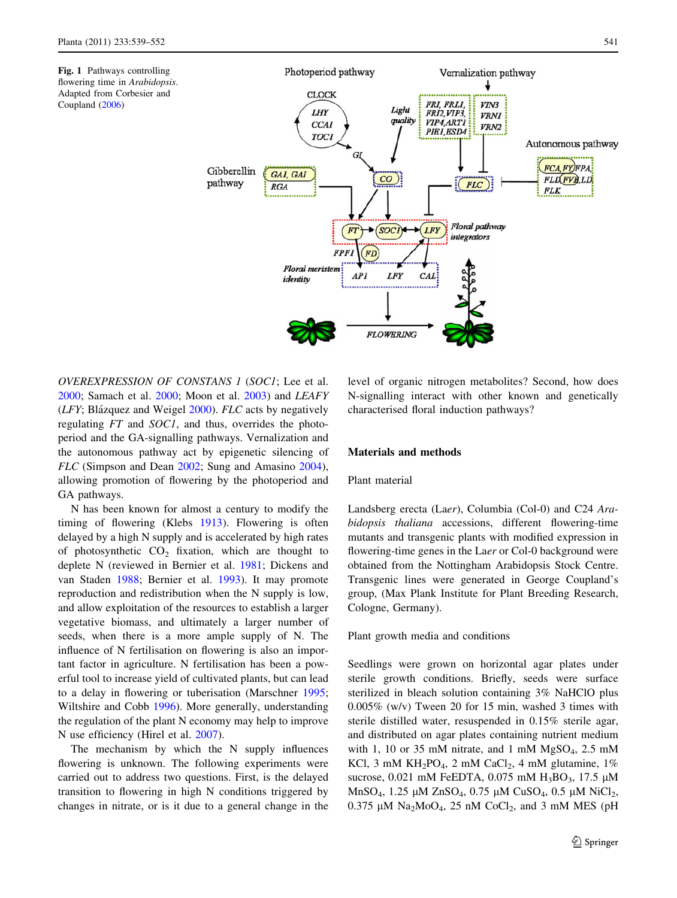<span id="page-2-0"></span>

OVEREXPRESSION OF CONSTANS 1 (SOC1; Lee et al. [2000;](#page-12-0) Samach et al. [2000;](#page-12-0) Moon et al. [2003\)](#page-12-0) and LEAFY  $(LFY; Blázquez and Weigel 2000)$  $(LFY; Blázquez and Weigel 2000)$  $(LFY; Blázquez and Weigel 2000)$ .  $FLC$  acts by negatively regulating FT and SOC1, and thus, overrides the photoperiod and the GA-signalling pathways. Vernalization and the autonomous pathway act by epigenetic silencing of FLC (Simpson and Dean [2002](#page-12-0); Sung and Amasino [2004](#page-13-0)), allowing promotion of flowering by the photoperiod and GA pathways.

N has been known for almost a century to modify the timing of flowering (Klebs [1913\)](#page-12-0). Flowering is often delayed by a high N supply and is accelerated by high rates of photosynthetic  $CO<sub>2</sub>$  fixation, which are thought to deplete N (reviewed in Bernier et al. [1981;](#page-11-0) Dickens and van Staden [1988](#page-11-0); Bernier et al. [1993\)](#page-11-0). It may promote reproduction and redistribution when the N supply is low, and allow exploitation of the resources to establish a larger vegetative biomass, and ultimately a larger number of seeds, when there is a more ample supply of N. The influence of N fertilisation on flowering is also an important factor in agriculture. N fertilisation has been a powerful tool to increase yield of cultivated plants, but can lead to a delay in flowering or tuberisation (Marschner [1995](#page-12-0); Wiltshire and Cobb [1996\)](#page-13-0). More generally, understanding the regulation of the plant N economy may help to improve N use efficiency (Hirel et al. [2007\)](#page-11-0).

The mechanism by which the N supply influences flowering is unknown. The following experiments were carried out to address two questions. First, is the delayed transition to flowering in high N conditions triggered by changes in nitrate, or is it due to a general change in the level of organic nitrogen metabolites? Second, how does N-signalling interact with other known and genetically characterised floral induction pathways?

## Materials and methods

## Plant material

Landsberg erecta (Laer), Columbia (Col-0) and C24 Arabidopsis thaliana accessions, different flowering-time mutants and transgenic plants with modified expression in flowering-time genes in the Laer or Col-0 background were obtained from the Nottingham Arabidopsis Stock Centre. Transgenic lines were generated in George Coupland's group, (Max Plank Institute for Plant Breeding Research, Cologne, Germany).

Plant growth media and conditions

Seedlings were grown on horizontal agar plates under sterile growth conditions. Briefly, seeds were surface sterilized in bleach solution containing 3% NaHClO plus 0.005% (w/v) Tween 20 for 15 min, washed 3 times with sterile distilled water, resuspended in 0.15% sterile agar, and distributed on agar plates containing nutrient medium with 1, 10 or 35 mM nitrate, and 1 mM  $MgSO<sub>4</sub>$ , 2.5 mM KCl, 3 mM KH<sub>2</sub>PO<sub>4</sub>, 2 mM CaCl<sub>2</sub>, 4 mM glutamine, 1% sucrose, 0.021 mM FeEDTA, 0.075 mM  $H_3BO_3$ , 17.5  $\mu$ M MnSO<sub>4</sub>, 1.25 μM ZnSO<sub>4</sub>, 0.75 μM CuSO<sub>4</sub>, 0.5 μM NiCl<sub>2</sub>,  $0.375 \mu M$  Na<sub>2</sub>MoO<sub>4</sub>, 25 nM CoCl<sub>2</sub>, and 3 mM MES (pH)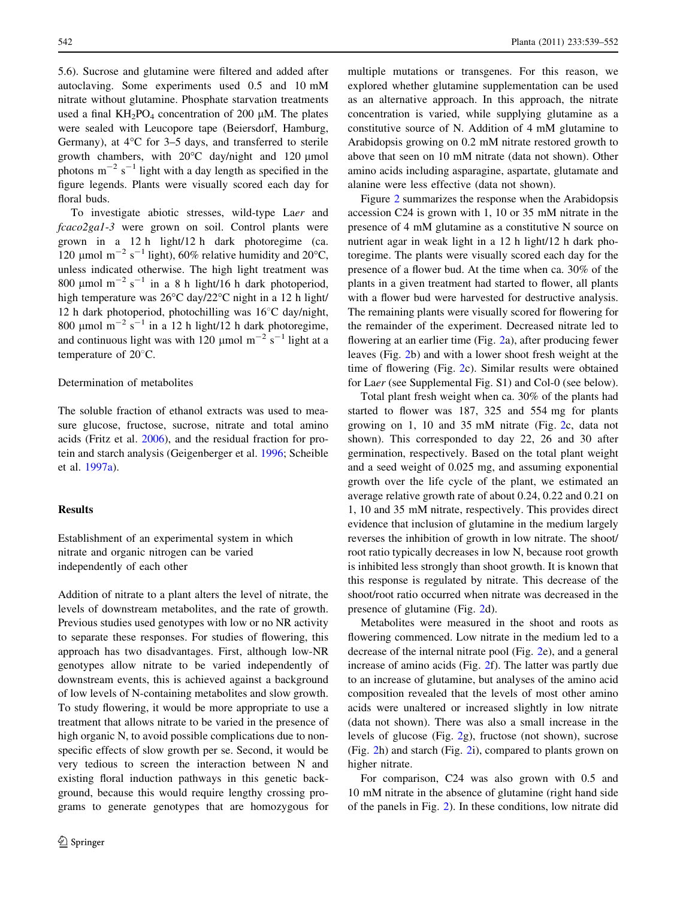5.6). Sucrose and glutamine were filtered and added after autoclaving. Some experiments used 0.5 and 10 mM nitrate without glutamine. Phosphate starvation treatments used a final  $KH_2PO_4$  concentration of 200 µM. The plates were sealed with Leucopore tape (Beiersdorf, Hamburg, Germany), at  $4^{\circ}$ C for 3–5 days, and transferred to sterile growth chambers, with  $20^{\circ}$ C day/night and 120 µmol photons  $m^{-2}$  s<sup>-1</sup> light with a day length as specified in the figure legends. Plants were visually scored each day for floral buds.

To investigate abiotic stresses, wild-type Laer and fcaco2ga1-3 were grown on soil. Control plants were grown in a 12 h light/12 h dark photoregime (ca. 120 µmol m<sup>-2</sup> s<sup>-1</sup> light), 60% relative humidity and 20°C, unless indicated otherwise. The high light treatment was 800  $\mu$ mol m<sup>-2</sup> s<sup>-1</sup> in a 8 h light/16 h dark photoperiod, high temperature was  $26^{\circ}$ C day/ $22^{\circ}$ C night in a 12 h light/ 12 h dark photoperiod, photochilling was  $16^{\circ}$ C day/night, 800 µmol m<sup>-2</sup> s<sup>-1</sup> in a 12 h light/12 h dark photoregime, and continuous light was with 120  $\mu$ mol m<sup>-2</sup> s<sup>-1</sup> light at a temperature of  $20^{\circ}$ C.

## Determination of metabolites

The soluble fraction of ethanol extracts was used to measure glucose, fructose, sucrose, nitrate and total amino acids (Fritz et al. [2006\)](#page-11-0), and the residual fraction for protein and starch analysis (Geigenberger et al. [1996](#page-11-0); Scheible et al. [1997a](#page-12-0)).

## Results

Establishment of an experimental system in which nitrate and organic nitrogen can be varied independently of each other

Addition of nitrate to a plant alters the level of nitrate, the levels of downstream metabolites, and the rate of growth. Previous studies used genotypes with low or no NR activity to separate these responses. For studies of flowering, this approach has two disadvantages. First, although low-NR genotypes allow nitrate to be varied independently of downstream events, this is achieved against a background of low levels of N-containing metabolites and slow growth. To study flowering, it would be more appropriate to use a treatment that allows nitrate to be varied in the presence of high organic N, to avoid possible complications due to nonspecific effects of slow growth per se. Second, it would be very tedious to screen the interaction between N and existing floral induction pathways in this genetic background, because this would require lengthy crossing programs to generate genotypes that are homozygous for

multiple mutations or transgenes. For this reason, we explored whether glutamine supplementation can be used as an alternative approach. In this approach, the nitrate concentration is varied, while supplying glutamine as a constitutive source of N. Addition of 4 mM glutamine to Arabidopsis growing on 0.2 mM nitrate restored growth to above that seen on 10 mM nitrate (data not shown). Other amino acids including asparagine, aspartate, glutamate and alanine were less effective (data not shown).

Figure [2](#page-4-0) summarizes the response when the Arabidopsis accession C24 is grown with 1, 10 or 35 mM nitrate in the presence of 4 mM glutamine as a constitutive N source on nutrient agar in weak light in a 12 h light/12 h dark photoregime. The plants were visually scored each day for the presence of a flower bud. At the time when ca. 30% of the plants in a given treatment had started to flower, all plants with a flower bud were harvested for destructive analysis. The remaining plants were visually scored for flowering for the remainder of the experiment. Decreased nitrate led to flowering at an earlier time (Fig. [2a](#page-4-0)), after producing fewer leaves (Fig. [2b](#page-4-0)) and with a lower shoot fresh weight at the time of flowering (Fig. [2](#page-4-0)c). Similar results were obtained for Laer (see Supplemental Fig. S1) and Col-0 (see below).

Total plant fresh weight when ca. 30% of the plants had started to flower was 187, 325 and 554 mg for plants growing on 1, 10 and 35 mM nitrate (Fig. [2](#page-4-0)c, data not shown). This corresponded to day 22, 26 and 30 after germination, respectively. Based on the total plant weight and a seed weight of 0.025 mg, and assuming exponential growth over the life cycle of the plant, we estimated an average relative growth rate of about 0.24, 0.22 and 0.21 on 1, 10 and 35 mM nitrate, respectively. This provides direct evidence that inclusion of glutamine in the medium largely reverses the inhibition of growth in low nitrate. The shoot/ root ratio typically decreases in low N, because root growth is inhibited less strongly than shoot growth. It is known that this response is regulated by nitrate. This decrease of the shoot/root ratio occurred when nitrate was decreased in the presence of glutamine (Fig. [2](#page-4-0)d).

Metabolites were measured in the shoot and roots as flowering commenced. Low nitrate in the medium led to a decrease of the internal nitrate pool (Fig. [2e](#page-4-0)), and a general increase of amino acids (Fig. [2f](#page-4-0)). The latter was partly due to an increase of glutamine, but analyses of the amino acid composition revealed that the levels of most other amino acids were unaltered or increased slightly in low nitrate (data not shown). There was also a small increase in the levels of glucose (Fig. [2g](#page-4-0)), fructose (not shown), sucrose (Fig. [2h](#page-4-0)) and starch (Fig. [2i](#page-4-0)), compared to plants grown on higher nitrate.

For comparison, C24 was also grown with 0.5 and 10 mM nitrate in the absence of glutamine (right hand side of the panels in Fig. [2](#page-4-0)). In these conditions, low nitrate did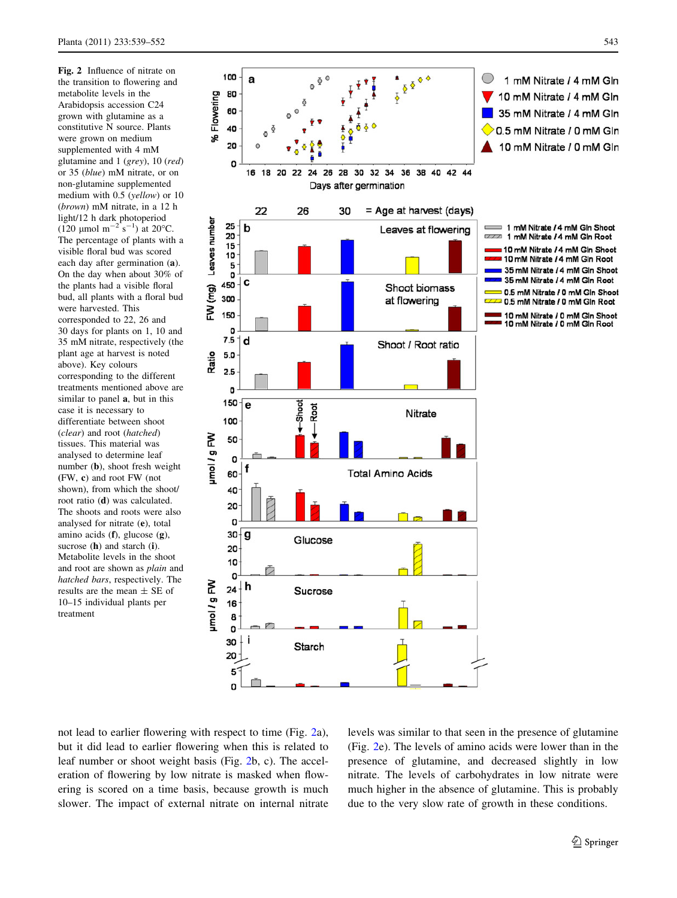<span id="page-4-0"></span>Fig. 2 Influence of nitrate on the transition to flowering and metabolite levels in the Arabidopsis accession C24 grown with glutamine as a constitutive N source. Plants were grown on medium supplemented with 4 mM glutamine and 1 (grey), 10 (red) or 35 (blue) mM nitrate, or on non-glutamine supplemented medium with 0.5 (yellow) or 10 (brown) mM nitrate, in a 12 h light/12 h dark photoperiod  $(120 \text{ }\mu\text{mol m}^{-2} \text{ s}^{-1})$  at 20°C. The percentage of plants with a visible floral bud was scored each day after germination (a). On the day when about 30% of the plants had a visible floral bud, all plants with a floral bud were harvested. This corresponded to 22, 26 and 30 days for plants on 1, 10 and 35 mM nitrate, respectively (the plant age at harvest is noted above). Key colours corresponding to the different treatments mentioned above are similar to panel a, but in this case it is necessary to differentiate between shoot (clear) and root (hatched) tissues. This material was analysed to determine leaf number (b), shoot fresh weight (FW, c) and root FW (not shown), from which the shoot/ root ratio (d) was calculated. The shoots and roots were also analysed for nitrate (e), total amino acids (f), glucose (g), sucrose (h) and starch (i). Metabolite levels in the shoot and root are shown as plain and hatched bars, respectively. The results are the mean  $\pm$  SE of 10–15 individual plants per treatment



not lead to earlier flowering with respect to time (Fig. 2a), but it did lead to earlier flowering when this is related to leaf number or shoot weight basis (Fig. 2b, c). The acceleration of flowering by low nitrate is masked when flowering is scored on a time basis, because growth is much slower. The impact of external nitrate on internal nitrate levels was similar to that seen in the presence of glutamine (Fig. 2e). The levels of amino acids were lower than in the presence of glutamine, and decreased slightly in low nitrate. The levels of carbohydrates in low nitrate were much higher in the absence of glutamine. This is probably due to the very slow rate of growth in these conditions.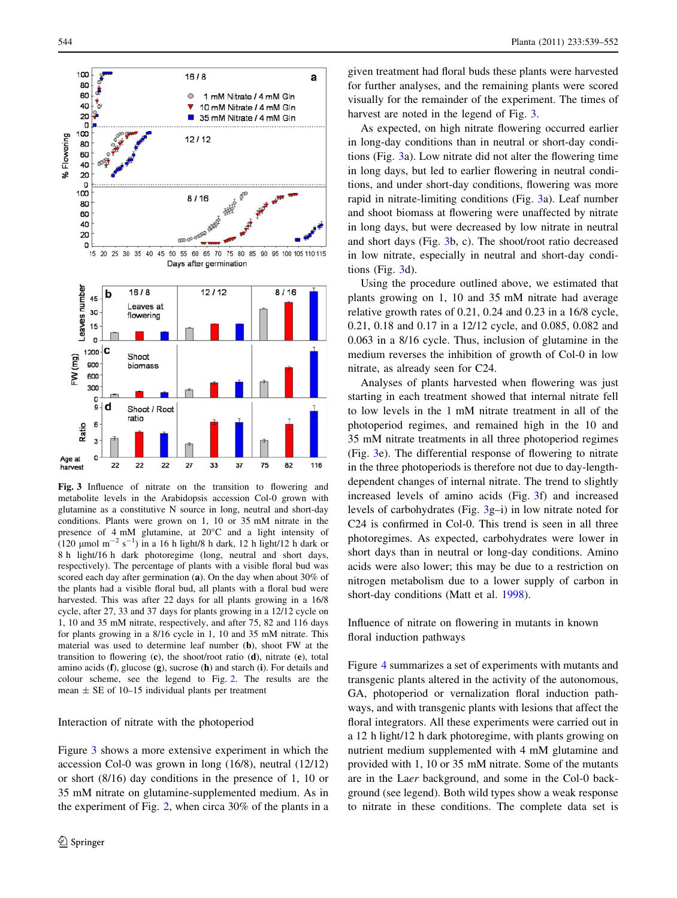

Fig. 3 Influence of nitrate on the transition to flowering and metabolite levels in the Arabidopsis accession Col-0 grown with glutamine as a constitutive N source in long, neutral and short-day conditions. Plants were grown on 1, 10 or 35 mM nitrate in the presence of 4 mM glutamine, at 20°C and a light intensity of (120 µmol m<sup>-2</sup> s<sup>-1</sup>) in a 16 h light/8 h dark, 12 h light/12 h dark or 8 h light/16 h dark photoregime (long, neutral and short days, respectively). The percentage of plants with a visible floral bud was scored each day after germination (a). On the day when about 30% of the plants had a visible floral bud, all plants with a floral bud were harvested. This was after 22 days for all plants growing in a 16/8 cycle, after 27, 33 and 37 days for plants growing in a 12/12 cycle on 1, 10 and 35 mM nitrate, respectively, and after 75, 82 and 116 days for plants growing in a 8/16 cycle in 1, 10 and 35 mM nitrate. This material was used to determine leaf number (b), shoot FW at the transition to flowering  $(c)$ , the shoot/root ratio  $(d)$ , nitrate  $(e)$ , total amino acids  $(f)$ , glucose  $(g)$ , sucrose  $(h)$  and starch  $(i)$ . For details and colour scheme, see the legend to Fig. [2](#page-4-0). The results are the mean  $\pm$  SE of 10–15 individual plants per treatment

#### Interaction of nitrate with the photoperiod

Figure 3 shows a more extensive experiment in which the accession Col-0 was grown in long (16/8), neutral (12/12) or short (8/16) day conditions in the presence of 1, 10 or 35 mM nitrate on glutamine-supplemented medium. As in the experiment of Fig. [2,](#page-4-0) when circa 30% of the plants in a given treatment had floral buds these plants were harvested for further analyses, and the remaining plants were scored visually for the remainder of the experiment. The times of harvest are noted in the legend of Fig. 3.

As expected, on high nitrate flowering occurred earlier in long-day conditions than in neutral or short-day conditions (Fig. 3a). Low nitrate did not alter the flowering time in long days, but led to earlier flowering in neutral conditions, and under short-day conditions, flowering was more rapid in nitrate-limiting conditions (Fig. 3a). Leaf number and shoot biomass at flowering were unaffected by nitrate in long days, but were decreased by low nitrate in neutral and short days (Fig. 3b, c). The shoot/root ratio decreased in low nitrate, especially in neutral and short-day conditions (Fig. 3d).

Using the procedure outlined above, we estimated that plants growing on 1, 10 and 35 mM nitrate had average relative growth rates of 0.21, 0.24 and 0.23 in a 16/8 cycle, 0.21, 0.18 and 0.17 in a 12/12 cycle, and 0.085, 0.082 and 0.063 in a 8/16 cycle. Thus, inclusion of glutamine in the medium reverses the inhibition of growth of Col-0 in low nitrate, as already seen for C24.

Analyses of plants harvested when flowering was just starting in each treatment showed that internal nitrate fell to low levels in the 1 mM nitrate treatment in all of the photoperiod regimes, and remained high in the 10 and 35 mM nitrate treatments in all three photoperiod regimes (Fig. 3e). The differential response of flowering to nitrate in the three photoperiods is therefore not due to day-lengthdependent changes of internal nitrate. The trend to slightly increased levels of amino acids (Fig. 3f) and increased levels of carbohydrates (Fig. 3g–i) in low nitrate noted for C24 is confirmed in Col-0. This trend is seen in all three photoregimes. As expected, carbohydrates were lower in short days than in neutral or long-day conditions. Amino acids were also lower; this may be due to a restriction on nitrogen metabolism due to a lower supply of carbon in short-day conditions (Matt et al. [1998](#page-12-0)).

Influence of nitrate on flowering in mutants in known floral induction pathways

Figure [4](#page-7-0) summarizes a set of experiments with mutants and transgenic plants altered in the activity of the autonomous, GA, photoperiod or vernalization floral induction pathways, and with transgenic plants with lesions that affect the floral integrators. All these experiments were carried out in a 12 h light/12 h dark photoregime, with plants growing on nutrient medium supplemented with 4 mM glutamine and provided with 1, 10 or 35 mM nitrate. Some of the mutants are in the Laer background, and some in the Col-0 background (see legend). Both wild types show a weak response to nitrate in these conditions. The complete data set is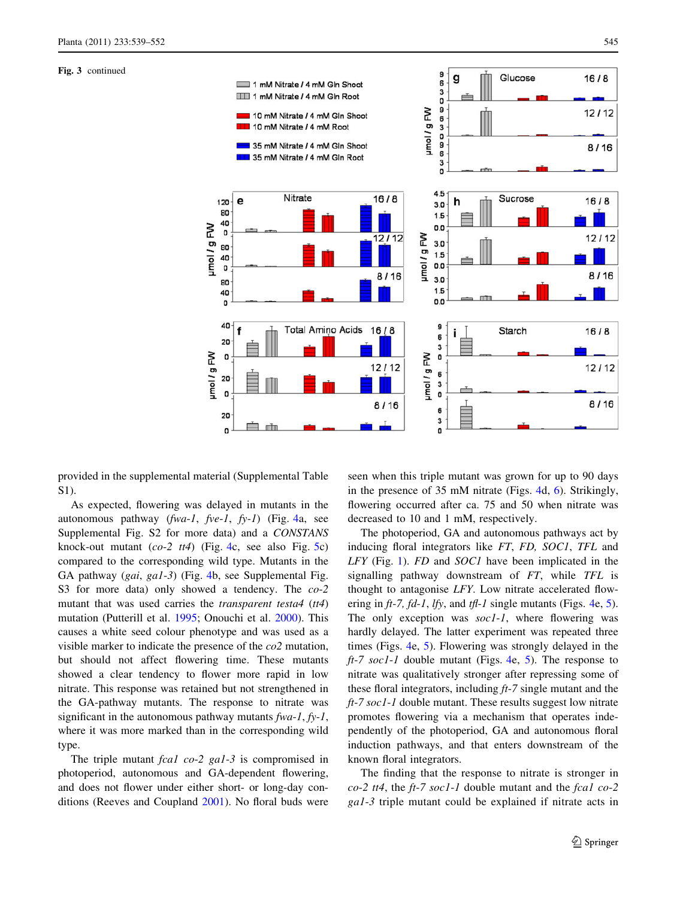#### Fig. 3 continued



provided in the supplemental material (Supplemental Table S1).

As expected, flowering was delayed in mutants in the autonomous pathway  $(fwa-l, fve-l, fy-l)$  (Fig. [4](#page-7-0)a, see Supplemental Fig. S2 for more data) and a CONSTANS knock-out mutant  $(co-2$  tt[4](#page-7-0)) (Fig. 4c, see also Fig. [5](#page-8-0)c) compared to the corresponding wild type. Mutants in the GA pathway (gai, ga1-3) (Fig. [4b](#page-7-0), see Supplemental Fig. S3 for more data) only showed a tendency. The  $co-2$ mutant that was used carries the *transparent testa4* (tt4) mutation (Putterill et al. [1995;](#page-12-0) Onouchi et al. [2000\)](#page-12-0). This causes a white seed colour phenotype and was used as a visible marker to indicate the presence of the co2 mutation, but should not affect flowering time. These mutants showed a clear tendency to flower more rapid in low nitrate. This response was retained but not strengthened in the GA-pathway mutants. The response to nitrate was significant in the autonomous pathway mutants  $fwa-1$ ,  $f y-1$ , where it was more marked than in the corresponding wild type.

The triple mutant *fcal co-2 gal-3* is compromised in photoperiod, autonomous and GA-dependent flowering, and does not flower under either short- or long-day conditions (Reeves and Coupland [2001\)](#page-12-0). No floral buds were

seen when this triple mutant was grown for up to 90 days in the presence of 35 mM nitrate (Figs. [4d](#page-7-0), [6\)](#page-8-0). Strikingly, flowering occurred after ca. 75 and 50 when nitrate was decreased to 10 and 1 mM, respectively.

The photoperiod, GA and autonomous pathways act by inducing floral integrators like FT, FD, SOC1, TFL and LFY (Fig. [1\)](#page-2-0). FD and SOC1 have been implicated in the signalling pathway downstream of FT, while TFL is thought to antagonise LFY. Low nitrate accelerated flowering in  $ft-7$ ,  $fd-1$ ,  $lfy$ , and  $tfl-1$  single mutants (Figs. [4e](#page-7-0), [5](#page-8-0)). The only exception was  $\text{soc1-1}$ , where flowering was hardly delayed. The latter experiment was repeated three times (Figs. [4](#page-7-0)e, [5\)](#page-8-0). Flowering was strongly delayed in the  $ft-7$  soc1-1 double mutant (Figs. [4e](#page-7-0), [5\)](#page-8-0). The response to nitrate was qualitatively stronger after repressing some of these floral integrators, including  $ft-7$  single mutant and the  $ft-7$  soc1-1 double mutant. These results suggest low nitrate promotes flowering via a mechanism that operates independently of the photoperiod, GA and autonomous floral induction pathways, and that enters downstream of the known floral integrators.

The finding that the response to nitrate is stronger in  $co-2$  tt4, the ft-7 soc1-1 double mutant and the fcal co-2 ga1-3 triple mutant could be explained if nitrate acts in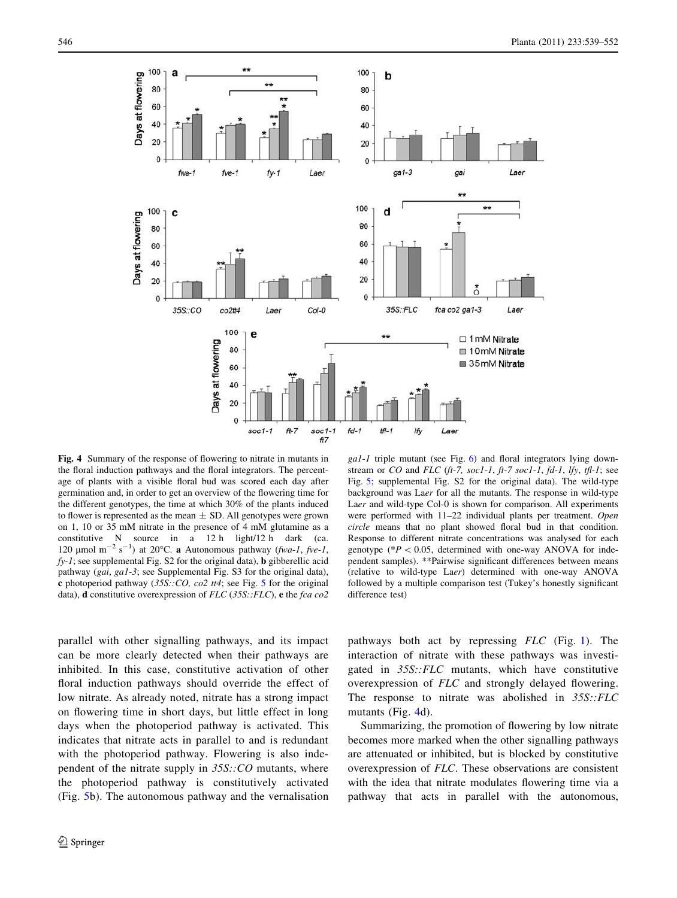<span id="page-7-0"></span>

Fig. 4 Summary of the response of flowering to nitrate in mutants in the floral induction pathways and the floral integrators. The percentage of plants with a visible floral bud was scored each day after germination and, in order to get an overview of the flowering time for the different genotypes, the time at which 30% of the plants induced to flower is represented as the mean  $\pm$  SD. All genotypes were grown on 1, 10 or 35 mM nitrate in the presence of 4 mM glutamine as a constitutive N source in a 12 h light/12 h dark (ca. 120 µmol m<sup>-2</sup> s<sup>-1</sup>) at 20°C. **a** Autonomous pathway (fwa-1, fve-1,  $fy-1$ ; see supplemental Fig. S2 for the original data), **b** gibberellic acid pathway (gai, ga1-3; see Supplemental Fig. S3 for the original data), c photoperiod pathway  $(35S::CO, co2~tt4;$  $(35S::CO, co2~tt4;$  $(35S::CO, co2~tt4;$  see Fig. 5 for the original data), **d** constitutive overexpression of  $FLC$  (35S:: $FLC$ ), **e** the fca co2

 $gal-1$  triple mutant (see Fig. [6\)](#page-8-0) and floral integrators lying downstream or  $CO$  and  $FLC$  (ft-7, soc1-1, ft-7 soc1-1, fd-1, lfy, tfl-1; see Fig. [5;](#page-8-0) supplemental Fig. S2 for the original data). The wild-type background was Laer for all the mutants. The response in wild-type Laer and wild-type Col-0 is shown for comparison. All experiments were performed with 11–22 individual plants per treatment. Open circle means that no plant showed floral bud in that condition. Response to different nitrate concentrations was analysed for each genotype ( $*P < 0.05$ , determined with one-way ANOVA for independent samples). \*\*Pairwise significant differences between means (relative to wild-type Laer) determined with one-way ANOVA followed by a multiple comparison test (Tukey's honestly significant difference test)

parallel with other signalling pathways, and its impact can be more clearly detected when their pathways are inhibited. In this case, constitutive activation of other floral induction pathways should override the effect of low nitrate. As already noted, nitrate has a strong impact on flowering time in short days, but little effect in long days when the photoperiod pathway is activated. This indicates that nitrate acts in parallel to and is redundant with the photoperiod pathway. Flowering is also independent of the nitrate supply in  $35S::CO$  mutants, where the photoperiod pathway is constitutively activated (Fig. [5](#page-8-0)b). The autonomous pathway and the vernalisation pathways both act by repressing FLC (Fig. [1\)](#page-2-0). The interaction of nitrate with these pathways was investigated in 35S::FLC mutants, which have constitutive overexpression of FLC and strongly delayed flowering. The response to nitrate was abolished in 35S::FLC mutants (Fig. 4d).

Summarizing, the promotion of flowering by low nitrate becomes more marked when the other signalling pathways are attenuated or inhibited, but is blocked by constitutive overexpression of FLC. These observations are consistent with the idea that nitrate modulates flowering time via a pathway that acts in parallel with the autonomous,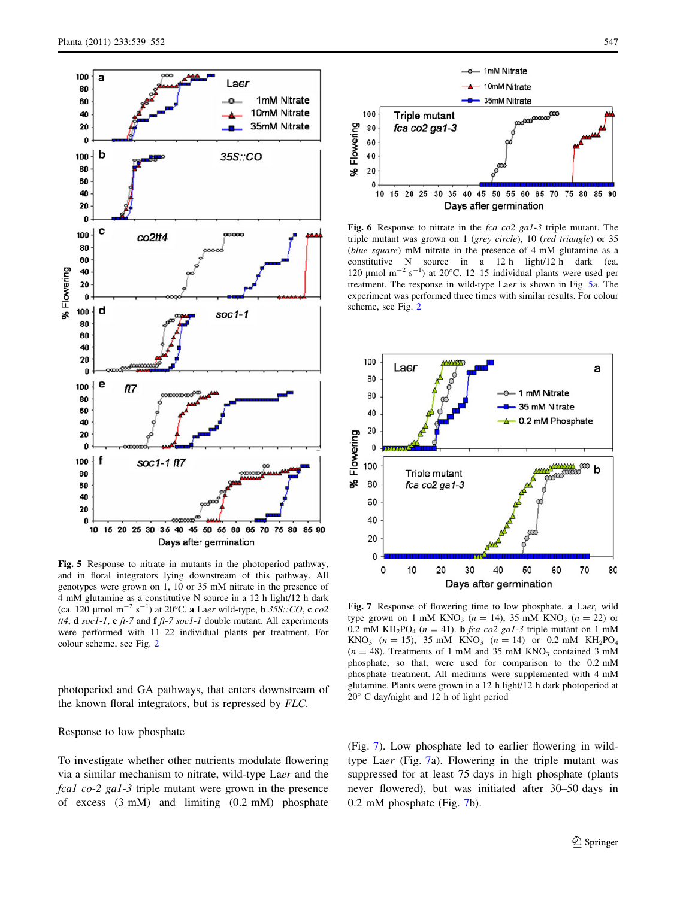<span id="page-8-0"></span>

Fig. 5 Response to nitrate in mutants in the photoperiod pathway, and in floral integrators lying downstream of this pathway. All genotypes were grown on 1, 10 or 35 mM nitrate in the presence of 4 mM glutamine as a constitutive N source in a 12 h light/12 h dark (ca. 120 µmol m<sup>-2</sup> s<sup>-1</sup>) at 20°C. **a** Laer wild-type, **b** 35S:: CO, **c** co2 tt4, **d** soc1-1, **e** ft-7 and **f** ft-7 soc1-1 double mutant. All experiments were performed with 11–22 individual plants per treatment. For colour scheme, see Fig. [2](#page-4-0)

photoperiod and GA pathways, that enters downstream of the known floral integrators, but is repressed by FLC.

#### Response to low phosphate

To investigate whether other nutrients modulate flowering via a similar mechanism to nitrate, wild-type Laer and the fcal co-2 gal-3 triple mutant were grown in the presence of excess (3 mM) and limiting (0.2 mM) phosphate



Fig. 6 Response to nitrate in the fca co2 gal-3 triple mutant. The triple mutant was grown on 1 (grey circle), 10 (red triangle) or 35 (blue square) mM nitrate in the presence of 4 mM glutamine as a constitutive N source in a 12 h light/12 h dark (ca. 120  $\mu$ mol m<sup>-2</sup> s<sup>-1</sup>) at 20°C. 12-15 individual plants were used per treatment. The response in wild-type Laer is shown in Fig. 5a. The experiment was performed three times with similar results. For colour scheme, see Fig. [2](#page-4-0)



Fig. 7 Response of flowering time to low phosphate. a Laer, wild type grown on 1 mM KNO<sub>3</sub> ( $n = 14$ ), 35 mM KNO<sub>3</sub> ( $n = 22$ ) or 0.2 mM KH<sub>2</sub>PO<sub>4</sub> ( $n = 41$ ). **b** *fca co*2 *gal*-3 triple mutant on 1 mM KNO<sub>3</sub> ( $n = 15$ ), 35 mM KNO<sub>3</sub> ( $n = 14$ ) or 0.2 mM KH<sub>2</sub>PO<sub>4</sub>  $(n = 48)$ . Treatments of 1 mM and 35 mM KNO<sub>3</sub> contained 3 mM phosphate, so that, were used for comparison to the 0.2 mM phosphate treatment. All mediums were supplemented with 4 mM glutamine. Plants were grown in a 12 h light/12 h dark photoperiod at  $20^{\circ}$  C day/night and 12 h of light period

(Fig. 7). Low phosphate led to earlier flowering in wildtype Laer (Fig. 7a). Flowering in the triple mutant was suppressed for at least 75 days in high phosphate (plants never flowered), but was initiated after 30–50 days in 0.2 mM phosphate (Fig. 7b).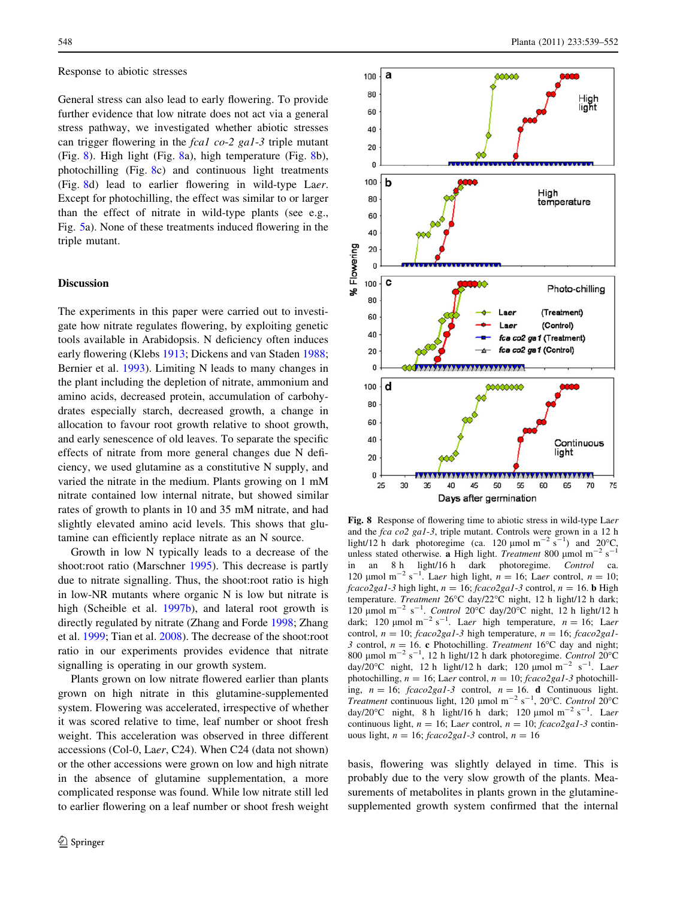#### Response to abiotic stresses

General stress can also lead to early flowering. To provide further evidence that low nitrate does not act via a general stress pathway, we investigated whether abiotic stresses can trigger flowering in the fcal co-2 gal-3 triple mutant (Fig. 8). High light (Fig. 8a), high temperature (Fig. 8b), photochilling (Fig. 8c) and continuous light treatments (Fig. 8d) lead to earlier flowering in wild-type Laer. Except for photochilling, the effect was similar to or larger than the effect of nitrate in wild-type plants (see e.g., Fig. [5](#page-8-0)a). None of these treatments induced flowering in the triple mutant.

## **Discussion**

The experiments in this paper were carried out to investigate how nitrate regulates flowering, by exploiting genetic tools available in Arabidopsis. N deficiency often induces early flowering (Klebs [1913;](#page-12-0) Dickens and van Staden [1988](#page-11-0); Bernier et al. [1993\)](#page-11-0). Limiting N leads to many changes in the plant including the depletion of nitrate, ammonium and amino acids, decreased protein, accumulation of carbohydrates especially starch, decreased growth, a change in allocation to favour root growth relative to shoot growth, and early senescence of old leaves. To separate the specific effects of nitrate from more general changes due N deficiency, we used glutamine as a constitutive N supply, and varied the nitrate in the medium. Plants growing on 1 mM nitrate contained low internal nitrate, but showed similar rates of growth to plants in 10 and 35 mM nitrate, and had slightly elevated amino acid levels. This shows that glutamine can efficiently replace nitrate as an N source.

Growth in low N typically leads to a decrease of the shoot:root ratio (Marschner [1995\)](#page-12-0). This decrease is partly due to nitrate signalling. Thus, the shoot:root ratio is high in low-NR mutants where organic N is low but nitrate is high (Scheible et al. [1997b](#page-12-0)), and lateral root growth is directly regulated by nitrate (Zhang and Forde [1998](#page-13-0); Zhang et al. [1999;](#page-13-0) Tian et al. [2008](#page-13-0)). The decrease of the shoot:root ratio in our experiments provides evidence that nitrate signalling is operating in our growth system.

Plants grown on low nitrate flowered earlier than plants grown on high nitrate in this glutamine-supplemented system. Flowering was accelerated, irrespective of whether it was scored relative to time, leaf number or shoot fresh weight. This acceleration was observed in three different accessions (Col-0, Laer, C24). When C24 (data not shown) or the other accessions were grown on low and high nitrate in the absence of glutamine supplementation, a more complicated response was found. While low nitrate still led to earlier flowering on a leaf number or shoot fresh weight



Fig. 8 Response of flowering time to abiotic stress in wild-type Laer and the fca co2 ga1-3, triple mutant. Controls were grown in a 12 h light/12 h dark photoregime (ca. 120  $\mu$ mol m<sup>-2</sup> s<sup>-1</sup>) and 20°C, unless stated otherwise. a High light. Treatment 800 µmol m<sup>-2</sup> s<sup>-1</sup> in an 8 h light/16 h dark photoregime. Control ca. 120 µmol m<sup>-2</sup> s<sup>-1</sup>. Laer high light,  $n = 16$ ; Laer control,  $n = 10$ ;  $fcaco2gal-3$  high light,  $n = 16$ ;  $fcaco2gal-3$  control,  $n = 16$ . **b** High temperature. Treatment 26°C day/22°C night, 12 h light/12 h dark; 120 µmol m<sup>-2</sup> s<sup>-1</sup>. Control 20°C day/20°C night, 12 h light/12 h dark; 120 µmol m<sup>-2</sup> s<sup>-1</sup>. Laer high temperature,  $n = 16$ ; Laer control,  $n = 10$ ; fcaco2ga1-3 high temperature,  $n = 16$ ; fcaco2ga1-3 control,  $n = 16$ . c Photochilling. Treatment 16°C day and night; 800 µmol m<sup>-2</sup> s<sup>-1</sup>, 12 h light/12 h dark photoregime. Control 20°C day/20 $^{\circ}$ C night, 12 h light/12 h dark; 120 µmol m<sup>-2</sup> s<sup>-1</sup>. Laer photochilling,  $n = 16$ ; Laer control,  $n = 10$ ; fcaco2ga1-3 photochilling,  $n = 16$ ; fcaco2ga1-3 control,  $n = 16$ . d Continuous light. Treatment continuous light, 120 µmol m<sup>-2</sup> s<sup>-1</sup>, 20°C. Control 20°C day/20 $^{\circ}$ C night, 8 h light/16 h dark; 120 µmol m<sup>-2</sup> s<sup>-1</sup>. Laer continuous light,  $n = 16$ ; Laer control,  $n = 10$ ; fcaco2ga1-3 continuous light,  $n = 16$ ; fcaco2gal-3 control,  $n = 16$ 

basis, flowering was slightly delayed in time. This is probably due to the very slow growth of the plants. Measurements of metabolites in plants grown in the glutaminesupplemented growth system confirmed that the internal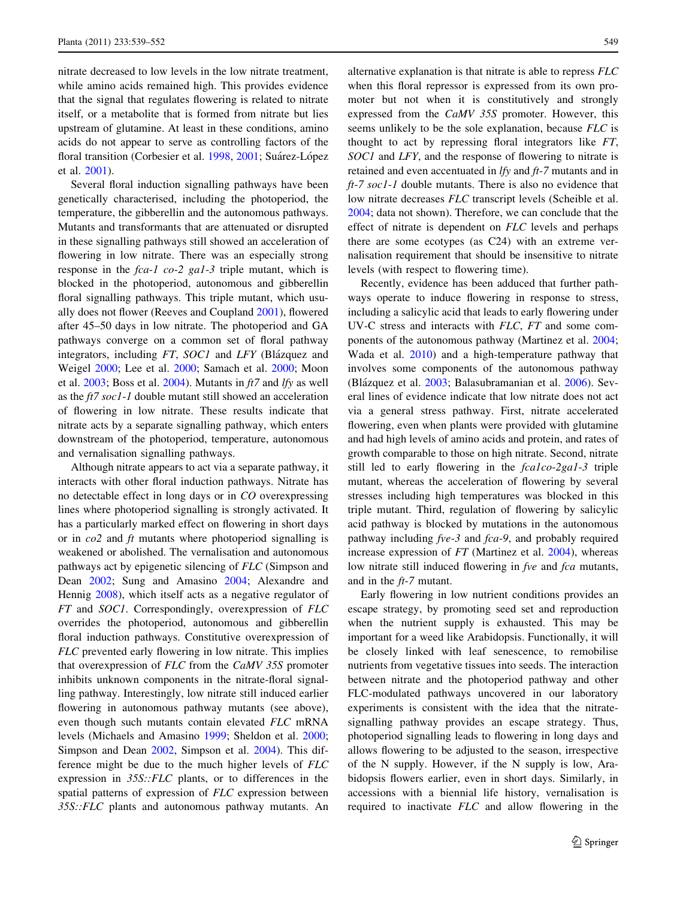nitrate decreased to low levels in the low nitrate treatment, while amino acids remained high. This provides evidence that the signal that regulates flowering is related to nitrate itself, or a metabolite that is formed from nitrate but lies upstream of glutamine. At least in these conditions, amino acids do not appear to serve as controlling factors of the floral transition (Corbesier et al. [1998,](#page-11-0) [2001;](#page-11-0) Suárez-López et al. [2001\)](#page-12-0).

Several floral induction signalling pathways have been genetically characterised, including the photoperiod, the temperature, the gibberellin and the autonomous pathways. Mutants and transformants that are attenuated or disrupted in these signalling pathways still showed an acceleration of flowering in low nitrate. There was an especially strong response in the fca-1 co-2 ga1-3 triple mutant, which is blocked in the photoperiod, autonomous and gibberellin floral signalling pathways. This triple mutant, which usually does not flower (Reeves and Coupland [2001\)](#page-12-0), flowered after 45–50 days in low nitrate. The photoperiod and GA pathways converge on a common set of floral pathway integrators, including FT, SOC1 and LFY (Blázquez and Weigel [2000;](#page-11-0) Lee et al. [2000;](#page-12-0) Samach et al. [2000;](#page-12-0) Moon et al.  $2003$ ; Boss et al. [2004](#page-11-0)). Mutants in  $ft7$  and  $lfy$  as well as the ft7 soc1-1 double mutant still showed an acceleration of flowering in low nitrate. These results indicate that nitrate acts by a separate signalling pathway, which enters downstream of the photoperiod, temperature, autonomous and vernalisation signalling pathways.

Although nitrate appears to act via a separate pathway, it interacts with other floral induction pathways. Nitrate has no detectable effect in long days or in CO overexpressing lines where photoperiod signalling is strongly activated. It has a particularly marked effect on flowering in short days or in  $\cos 2$  and ft mutants where photoperiod signalling is weakened or abolished. The vernalisation and autonomous pathways act by epigenetic silencing of FLC (Simpson and Dean [2002](#page-12-0); Sung and Amasino [2004;](#page-13-0) Alexandre and Hennig [2008\)](#page-11-0), which itself acts as a negative regulator of FT and SOC1. Correspondingly, overexpression of FLC overrides the photoperiod, autonomous and gibberellin floral induction pathways. Constitutive overexpression of FLC prevented early flowering in low nitrate. This implies that overexpression of FLC from the CaMV 35S promoter inhibits unknown components in the nitrate-floral signalling pathway. Interestingly, low nitrate still induced earlier flowering in autonomous pathway mutants (see above), even though such mutants contain elevated FLC mRNA levels (Michaels and Amasino [1999](#page-12-0); Sheldon et al. [2000](#page-12-0); Simpson and Dean [2002](#page-12-0), Simpson et al. [2004](#page-12-0)). This difference might be due to the much higher levels of FLC expression in 35S::FLC plants, or to differences in the spatial patterns of expression of FLC expression between 35S::FLC plants and autonomous pathway mutants. An alternative explanation is that nitrate is able to repress FLC when this floral repressor is expressed from its own promoter but not when it is constitutively and strongly expressed from the CaMV 35S promoter. However, this seems unlikely to be the sole explanation, because FLC is thought to act by repressing floral integrators like FT, SOC1 and LFY, and the response of flowering to nitrate is retained and even accentuated in lfy and ft-7 mutants and in ft-7 soc1-1 double mutants. There is also no evidence that low nitrate decreases FLC transcript levels (Scheible et al. [2004](#page-12-0); data not shown). Therefore, we can conclude that the effect of nitrate is dependent on FLC levels and perhaps there are some ecotypes (as C24) with an extreme vernalisation requirement that should be insensitive to nitrate levels (with respect to flowering time).

Recently, evidence has been adduced that further pathways operate to induce flowering in response to stress, including a salicylic acid that leads to early flowering under UV-C stress and interacts with FLC, FT and some components of the autonomous pathway (Martinez et al. [2004](#page-12-0); Wada et al. [2010\)](#page-13-0) and a high-temperature pathway that involves some components of the autonomous pathway (Blázquez et al. [2003;](#page-11-0) Balasubramanian et al. [2006\)](#page-11-0). Several lines of evidence indicate that low nitrate does not act via a general stress pathway. First, nitrate accelerated flowering, even when plants were provided with glutamine and had high levels of amino acids and protein, and rates of growth comparable to those on high nitrate. Second, nitrate still led to early flowering in the fcalco-2gal-3 triple mutant, whereas the acceleration of flowering by several stresses including high temperatures was blocked in this triple mutant. Third, regulation of flowering by salicylic acid pathway is blocked by mutations in the autonomous pathway including fve-3 and fca-9, and probably required increase expression of FT (Martinez et al. [2004](#page-12-0)), whereas low nitrate still induced flowering in fve and fca mutants, and in the ft-7 mutant.

Early flowering in low nutrient conditions provides an escape strategy, by promoting seed set and reproduction when the nutrient supply is exhausted. This may be important for a weed like Arabidopsis. Functionally, it will be closely linked with leaf senescence, to remobilise nutrients from vegetative tissues into seeds. The interaction between nitrate and the photoperiod pathway and other FLC-modulated pathways uncovered in our laboratory experiments is consistent with the idea that the nitratesignalling pathway provides an escape strategy. Thus, photoperiod signalling leads to flowering in long days and allows flowering to be adjusted to the season, irrespective of the N supply. However, if the N supply is low, Arabidopsis flowers earlier, even in short days. Similarly, in accessions with a biennial life history, vernalisation is required to inactivate FLC and allow flowering in the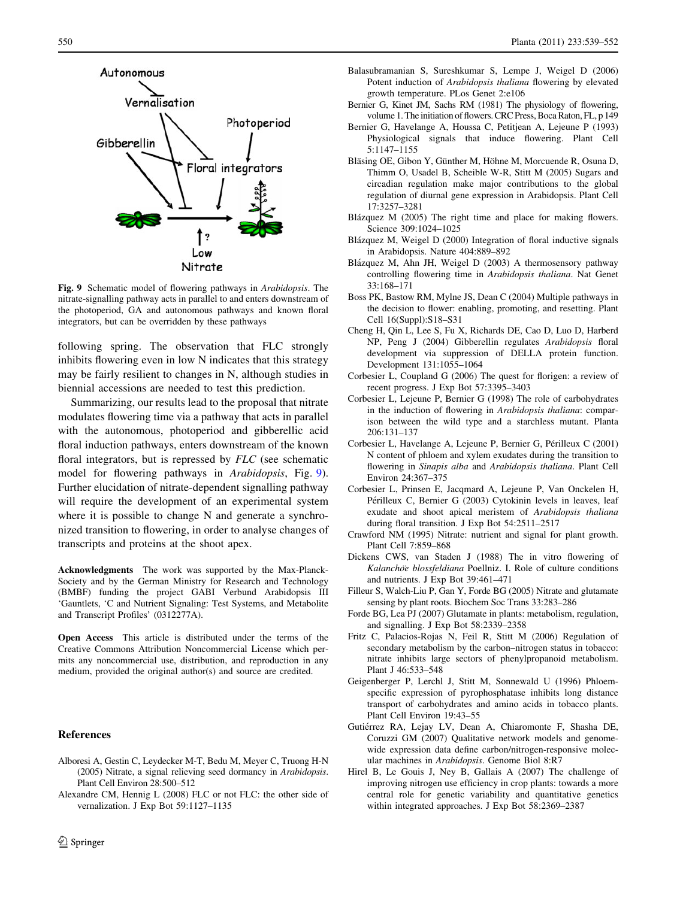<span id="page-11-0"></span>

Fig. 9 Schematic model of flowering pathways in Arabidopsis. The nitrate-signalling pathway acts in parallel to and enters downstream of the photoperiod, GA and autonomous pathways and known floral integrators, but can be overridden by these pathways

following spring. The observation that FLC strongly inhibits flowering even in low N indicates that this strategy may be fairly resilient to changes in N, although studies in biennial accessions are needed to test this prediction.

Summarizing, our results lead to the proposal that nitrate modulates flowering time via a pathway that acts in parallel with the autonomous, photoperiod and gibberellic acid floral induction pathways, enters downstream of the known floral integrators, but is repressed by FLC (see schematic model for flowering pathways in Arabidopsis, Fig. 9). Further elucidation of nitrate-dependent signalling pathway will require the development of an experimental system where it is possible to change N and generate a synchronized transition to flowering, in order to analyse changes of transcripts and proteins at the shoot apex.

Acknowledgments The work was supported by the Max-Planck-Society and by the German Ministry for Research and Technology (BMBF) funding the project GABI Verbund Arabidopsis III 'Gauntlets, 'C and Nutrient Signaling: Test Systems, and Metabolite and Transcript Profiles' (0312277A).

Open Access This article is distributed under the terms of the Creative Commons Attribution Noncommercial License which permits any noncommercial use, distribution, and reproduction in any medium, provided the original author(s) and source are credited.

### References

- Alboresi A, Gestin C, Leydecker M-T, Bedu M, Meyer C, Truong H-N (2005) Nitrate, a signal relieving seed dormancy in Arabidopsis. Plant Cell Environ 28:500–512
- Alexandre CM, Hennig L (2008) FLC or not FLC: the other side of vernalization. J Exp Bot 59:1127–1135
- Balasubramanian S, Sureshkumar S, Lempe J, Weigel D (2006) Potent induction of Arabidopsis thaliana flowering by elevated growth temperature. PLos Genet 2:e106
- Bernier G, Kinet JM, Sachs RM (1981) The physiology of flowering, volume 1. The initiation of flowers. CRC Press, Boca Raton, FL, p 149
- Bernier G, Havelange A, Houssa C, Petitjean A, Lejeune P (1993) Physiological signals that induce flowering. Plant Cell 5:1147–1155
- Bläsing OE, Gibon Y, Günther M, Höhne M, Morcuende R, Osuna D, Thimm O, Usadel B, Scheible W-R, Stitt M (2005) Sugars and circadian regulation make major contributions to the global regulation of diurnal gene expression in Arabidopsis. Plant Cell 17:3257–3281
- Blázquez M (2005) The right time and place for making flowers. Science 309:1024–1025
- Blázquez M, Weigel D (2000) Integration of floral inductive signals in Arabidopsis. Nature 404:889–892
- Blázquez M, Ahn JH, Weigel D (2003) A thermosensory pathway controlling flowering time in Arabidopsis thaliana. Nat Genet 33:168–171
- Boss PK, Bastow RM, Mylne JS, Dean C (2004) Multiple pathways in the decision to flower: enabling, promoting, and resetting. Plant Cell 16(Suppl):S18–S31
- Cheng H, Qin L, Lee S, Fu X, Richards DE, Cao D, Luo D, Harberd NP, Peng J (2004) Gibberellin regulates Arabidopsis floral development via suppression of DELLA protein function. Development 131:1055–1064
- Corbesier L, Coupland G (2006) The quest for florigen: a review of recent progress. J Exp Bot 57:3395–3403
- Corbesier L, Lejeune P, Bernier G (1998) The role of carbohydrates in the induction of flowering in Arabidopsis thaliana: comparison between the wild type and a starchless mutant. Planta 206:131–137
- Corbesier L, Havelange A, Lejeune P, Bernier G, Périlleux C (2001) N content of phloem and xylem exudates during the transition to flowering in Sinapis alba and Arabidopsis thaliana. Plant Cell Environ 24:367–375
- Corbesier L, Prinsen E, Jacqmard A, Lejeune P, Van Onckelen H, Périlleux C, Bernier G (2003) Cytokinin levels in leaves, leaf exudate and shoot apical meristem of Arabidopsis thaliana during floral transition. J Exp Bot 54:2511–2517
- Crawford NM (1995) Nitrate: nutrient and signal for plant growth. Plant Cell 7:859–868
- Dickens CWS, van Staden J (1988) The in vitro flowering of Kalanchöe blossfeldiana Poellniz. I. Role of culture conditions and nutrients. J Exp Bot 39:461–471
- Filleur S, Walch-Liu P, Gan Y, Forde BG (2005) Nitrate and glutamate sensing by plant roots. Biochem Soc Trans 33:283–286
- Forde BG, Lea PJ (2007) Glutamate in plants: metabolism, regulation, and signalling. J Exp Bot 58:2339–2358
- Fritz C, Palacios-Rojas N, Feil R, Stitt M (2006) Regulation of secondary metabolism by the carbon–nitrogen status in tobacco: nitrate inhibits large sectors of phenylpropanoid metabolism. Plant J 46:533–548
- Geigenberger P, Lerchl J, Stitt M, Sonnewald U (1996) Phloemspecific expression of pyrophosphatase inhibits long distance transport of carbohydrates and amino acids in tobacco plants. Plant Cell Environ 19:43–55
- Gutiérrez RA, Lejay LV, Dean A, Chiaromonte F, Shasha DE, Coruzzi GM (2007) Qualitative network models and genomewide expression data define carbon/nitrogen-responsive molecular machines in Arabidopsis. Genome Biol 8:R7
- Hirel B, Le Gouis J, Ney B, Gallais A (2007) The challenge of improving nitrogen use efficiency in crop plants: towards a more central role for genetic variability and quantitative genetics within integrated approaches. J Exp Bot 58:2369–2387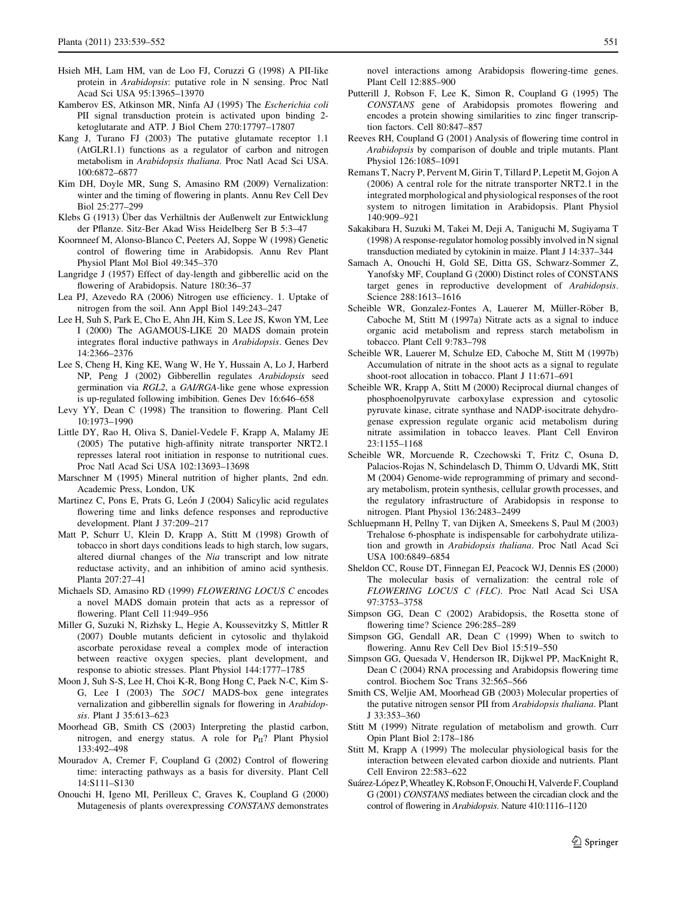- <span id="page-12-0"></span>Hsieh MH, Lam HM, van de Loo FJ, Coruzzi G (1998) A PII-like protein in Arabidopsis: putative role in N sensing. Proc Natl Acad Sci USA 95:13965–13970
- Kamberov ES, Atkinson MR, Ninfa AJ (1995) The Escherichia coli PII signal transduction protein is activated upon binding 2 ketoglutarate and ATP. J Biol Chem 270:17797–17807
- Kang J, Turano FJ (2003) The putative glutamate receptor 1.1 (AtGLR1.1) functions as a regulator of carbon and nitrogen metabolism in Arabidopsis thaliana. Proc Natl Acad Sci USA. 100:6872–6877
- Kim DH, Doyle MR, Sung S, Amasino RM (2009) Vernalization: winter and the timing of flowering in plants. Annu Rev Cell Dev Biol 25:277–299
- Klebs G (1913) Über das Verhältnis der Außenwelt zur Entwicklung der Pflanze. Sitz-Ber Akad Wiss Heidelberg Ser B 5:3–47
- Koornneef M, Alonso-Blanco C, Peeters AJ, Soppe W (1998) Genetic control of flowering time in Arabidopsis. Annu Rev Plant Physiol Plant Mol Biol 49:345–370
- Langridge J (1957) Effect of day-length and gibberellic acid on the flowering of Arabidopsis. Nature 180:36–37
- Lea PJ, Azevedo RA (2006) Nitrogen use efficiency. 1. Uptake of nitrogen from the soil. Ann Appl Biol 149:243–247
- Lee H, Suh S, Park E, Cho E, Ahn JH, Kim S, Lee JS, Kwon YM, Lee I (2000) The AGAMOUS-LIKE 20 MADS domain protein integrates floral inductive pathways in Arabidopsis. Genes Dev 14:2366–2376
- Lee S, Cheng H, King KE, Wang W, He Y, Hussain A, Lo J, Harberd NP, Peng J (2002) Gibberellin regulates Arabidopsis seed germination via RGL2, a GAI/RGA-like gene whose expression is up-regulated following imbibition. Genes Dev 16:646–658
- Levy YY, Dean C (1998) The transition to flowering. Plant Cell 10:1973–1990
- Little DY, Rao H, Oliva S, Daniel-Vedele F, Krapp A, Malamy JE (2005) The putative high-affinity nitrate transporter NRT2.1 represses lateral root initiation in response to nutritional cues. Proc Natl Acad Sci USA 102:13693–13698
- Marschner M (1995) Mineral nutrition of higher plants, 2nd edn. Academic Press, London, UK
- Martinez C, Pons E, Prats G, León J (2004) Salicylic acid regulates flowering time and links defence responses and reproductive development. Plant J 37:209–217
- Matt P, Schurr U, Klein D, Krapp A, Stitt M (1998) Growth of tobacco in short days conditions leads to high starch, low sugars, altered diurnal changes of the Nia transcript and low nitrate reductase activity, and an inhibition of amino acid synthesis. Planta 207:27–41
- Michaels SD, Amasino RD (1999) FLOWERING LOCUS C encodes a novel MADS domain protein that acts as a repressor of flowering. Plant Cell 11:949–956
- Miller G, Suzuki N, Rizhsky L, Hegie A, Koussevitzky S, Mittler R (2007) Double mutants deficient in cytosolic and thylakoid ascorbate peroxidase reveal a complex mode of interaction between reactive oxygen species, plant development, and response to abiotic stresses. Plant Physiol 144:1777–1785
- Moon J, Suh S-S, Lee H, Choi K-R, Bong Hong C, Paek N-C, Kim S-G, Lee I (2003) The SOC1 MADS-box gene integrates vernalization and gibberellin signals for flowering in Arabidopsis. Plant J 35:613–623
- Moorhead GB, Smith CS (2003) Interpreting the plastid carbon, nitrogen, and energy status. A role for  $P_{II}$ ? Plant Physiol 133:492–498
- Mouradov A, Cremer F, Coupland G (2002) Control of flowering time: interacting pathways as a basis for diversity. Plant Cell 14:S111–S130
- Onouchi H, Igeno MI, Perilleux C, Graves K, Coupland G (2000) Mutagenesis of plants overexpressing CONSTANS demonstrates

novel interactions among Arabidopsis flowering-time genes. Plant Cell 12:885–900

- Putterill J, Robson F, Lee K, Simon R, Coupland G (1995) The CONSTANS gene of Arabidopsis promotes flowering and encodes a protein showing similarities to zinc finger transcription factors. Cell 80:847–857
- Reeves RH, Coupland G (2001) Analysis of flowering time control in Arabidopsis by comparison of double and triple mutants. Plant Physiol 126:1085–1091
- Remans T, Nacry P, Pervent M, Girin T, Tillard P, Lepetit M, Gojon A (2006) A central role for the nitrate transporter NRT2.1 in the integrated morphological and physiological responses of the root system to nitrogen limitation in Arabidopsis. Plant Physiol 140:909–921
- Sakakibara H, Suzuki M, Takei M, Deji A, Taniguchi M, Sugiyama T (1998) A response-regulator homolog possibly involved in N signal transduction mediated by cytokinin in maize. Plant J 14:337–344
- Samach A, Onouchi H, Gold SE, Ditta GS, Schwarz-Sommer Z, Yanofsky MF, Coupland G (2000) Distinct roles of CONSTANS target genes in reproductive development of Arabidopsis. Science 288:1613–1616
- Scheible WR, Gonzalez-Fontes A, Lauerer M, Müller-Röber B, Caboche M, Stitt M (1997a) Nitrate acts as a signal to induce organic acid metabolism and repress starch metabolism in tobacco. Plant Cell 9:783–798
- Scheible WR, Lauerer M, Schulze ED, Caboche M, Stitt M (1997b) Accumulation of nitrate in the shoot acts as a signal to regulate shoot-root allocation in tobacco. Plant J 11:671–691
- Scheible WR, Krapp A, Stitt M (2000) Reciprocal diurnal changes of phosphoenolpyruvate carboxylase expression and cytosolic pyruvate kinase, citrate synthase and NADP-isocitrate dehydrogenase expression regulate organic acid metabolism during nitrate assimilation in tobacco leaves. Plant Cell Environ 23:1155–1168
- Scheible WR, Morcuende R, Czechowski T, Fritz C, Osuna D, Palacios-Rojas N, Schindelasch D, Thimm O, Udvardi MK, Stitt M (2004) Genome-wide reprogramming of primary and secondary metabolism, protein synthesis, cellular growth processes, and the regulatory infrastructure of Arabidopsis in response to nitrogen. Plant Physiol 136:2483–2499
- Schluepmann H, Pellny T, van Dijken A, Smeekens S, Paul M (2003) Trehalose 6-phosphate is indispensable for carbohydrate utilization and growth in Arabidopsis thaliana. Proc Natl Acad Sci USA 100:6849–6854
- Sheldon CC, Rouse DT, Finnegan EJ, Peacock WJ, Dennis ES (2000) The molecular basis of vernalization: the central role of FLOWERING LOCUS C (FLC). Proc Natl Acad Sci USA 97:3753–3758
- Simpson GG, Dean C (2002) Arabidopsis, the Rosetta stone of flowering time? Science 296:285–289
- Simpson GG, Gendall AR, Dean C (1999) When to switch to flowering. Annu Rev Cell Dev Biol 15:519–550
- Simpson GG, Quesada V, Henderson IR, Dijkwel PP, MacKnight R, Dean C (2004) RNA processing and Arabidopsis flowering time control. Biochem Soc Trans 32:565–566
- Smith CS, Weljie AM, Moorhead GB (2003) Molecular properties of the putative nitrogen sensor PII from Arabidopsis thaliana. Plant J 33:353–360
- Stitt M (1999) Nitrate regulation of metabolism and growth. Curr Opin Plant Biol 2:178–186
- Stitt M, Krapp A (1999) The molecular physiological basis for the interaction between elevated carbon dioxide and nutrients. Plant Cell Environ 22:583–622
- Suárez-López P, Wheatley K, Robson F, Onouchi H, Valverde F, Coupland G (2001) CONSTANS mediates between the circadian clock and the control of flowering in Arabidopsis. Nature 410:1116–1120